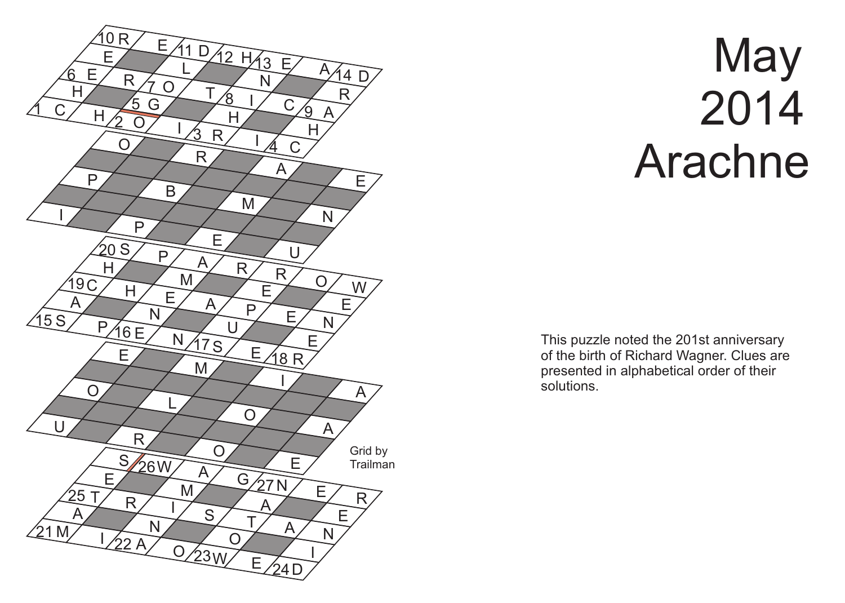

## **May**  2014 Arachne

This puzzle noted the 201st anniversary of the birth of Richard Wagner. Clues are presented in alphabetical order of their solutions.